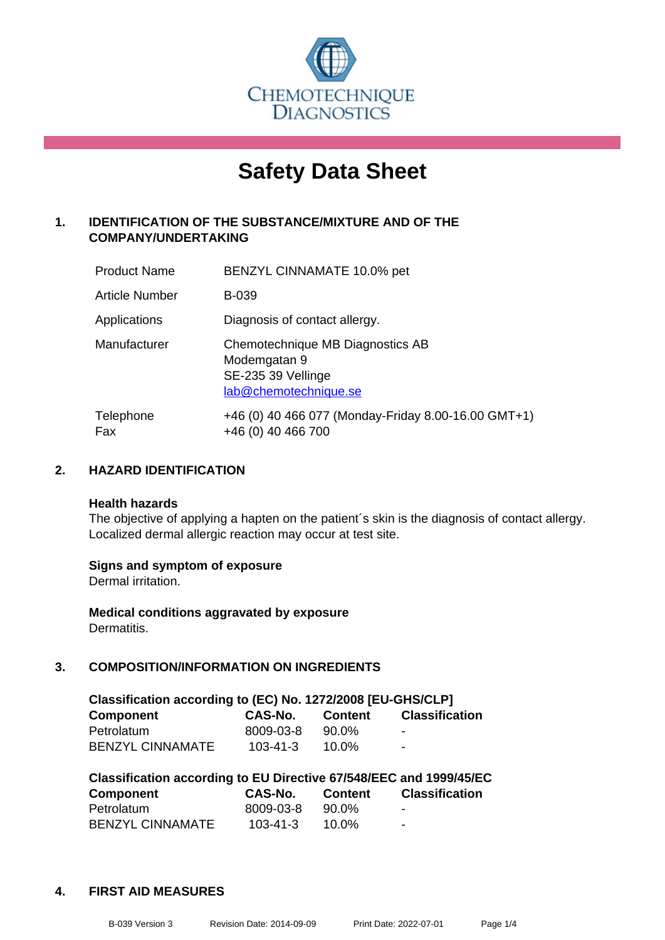

# **Safety Data Sheet**

## **1. IDENTIFICATION OF THE SUBSTANCE/MIXTURE AND OF THE COMPANY/UNDERTAKING**

| <b>Product Name</b>   | <b>BENZYL CINNAMATE 10.0% pet</b>                                                               |
|-----------------------|-------------------------------------------------------------------------------------------------|
| <b>Article Number</b> | <b>B-039</b>                                                                                    |
| Applications          | Diagnosis of contact allergy.                                                                   |
| Manufacturer          | Chemotechnique MB Diagnostics AB<br>Modemgatan 9<br>SE-235 39 Vellinge<br>lab@chemotechnique.se |
| Telephone<br>Fax      | +46 (0) 40 466 077 (Monday-Friday 8.00-16.00 GMT+1)<br>+46 (0) 40 466 700                       |

## **2. HAZARD IDENTIFICATION**

#### **Health hazards**

The objective of applying a hapten on the patient's skin is the diagnosis of contact allergy. Localized dermal allergic reaction may occur at test site.

## **Signs and symptom of exposure**

Dermal irritation.

**Medical conditions aggravated by exposure** Dermatitis.

## **3. COMPOSITION/INFORMATION ON INGREDIENTS**

| Classification according to (EC) No. 1272/2008 [EU-GHS/CLP] |                |                |                          |  |  |
|-------------------------------------------------------------|----------------|----------------|--------------------------|--|--|
| <b>Component</b>                                            | CAS-No.        | <b>Content</b> | <b>Classification</b>    |  |  |
| Petrolatum                                                  | 8009-03-8      | 90.0%          | $\overline{\phantom{0}}$ |  |  |
| <b>BENZYL CINNAMATE</b>                                     | $103 - 41 - 3$ | 10.0%          | $\blacksquare$           |  |  |

| Classification according to EU Directive 67/548/EEC and 1999/45/EC |                |                |                       |  |  |
|--------------------------------------------------------------------|----------------|----------------|-----------------------|--|--|
| <b>Component</b>                                                   | <b>CAS-No.</b> | <b>Content</b> | <b>Classification</b> |  |  |
| Petrolatum                                                         | 8009-03-8      | 90.0%          | -                     |  |  |
| <b>BENZYL CINNAMATE</b>                                            | $103 - 41 - 3$ | 10.0%          | -                     |  |  |

#### **4. FIRST AID MEASURES**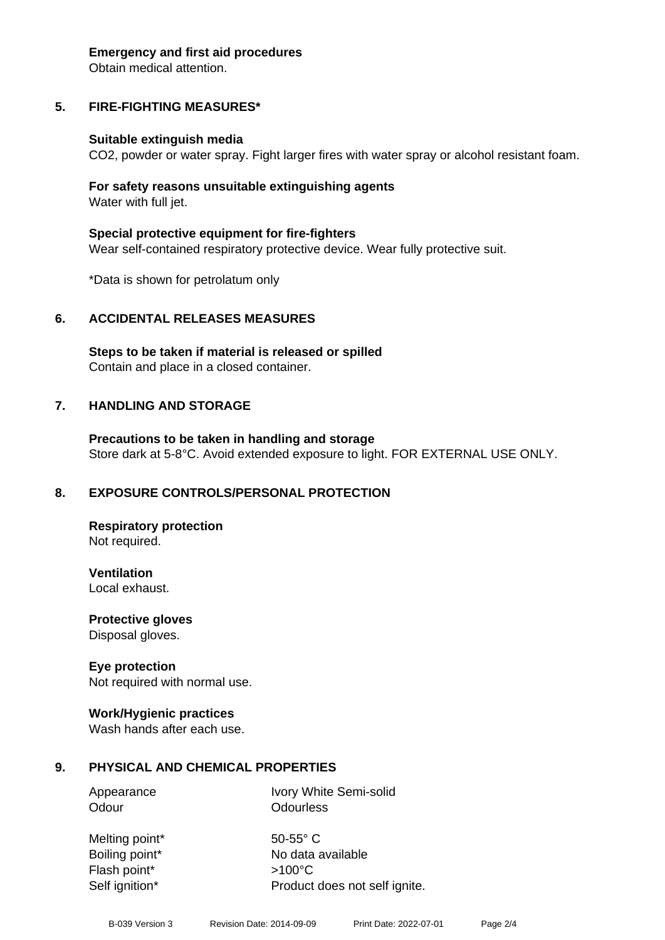#### **Emergency and first aid procedures**

Obtain medical attention.

# **5. FIRE-FIGHTING MEASURES\***

## **Suitable extinguish media**

CO2, powder or water spray. Fight larger fires with water spray or alcohol resistant foam.

## **For safety reasons unsuitable extinguishing agents** Water with full jet.

**Special protective equipment for fire-fighters** Wear self-contained respiratory protective device. Wear fully protective suit.

\*Data is shown for petrolatum only

# **6. ACCIDENTAL RELEASES MEASURES**

**Steps to be taken if material is released or spilled** Contain and place in a closed container.

# **7. HANDLING AND STORAGE**

**Precautions to be taken in handling and storage** Store dark at 5-8°C. Avoid extended exposure to light. FOR EXTERNAL USE ONLY.

# **8. EXPOSURE CONTROLS/PERSONAL PROTECTION**

**Respiratory protection** Not required.

**Ventilation** Local exhaust.

**Protective gloves** Disposal gloves.

# **Eye protection**

Not required with normal use.

## **Work/Hygienic practices**

Wash hands after each use.

# **9. PHYSICAL AND CHEMICAL PROPERTIES**

Appearance Ivory White Semi-solid Odour **Odourless** 

Melting point\* 50-55° C Flash point\* >100°C

Boiling point\* No data available Self ignition\* Product does not self ignite.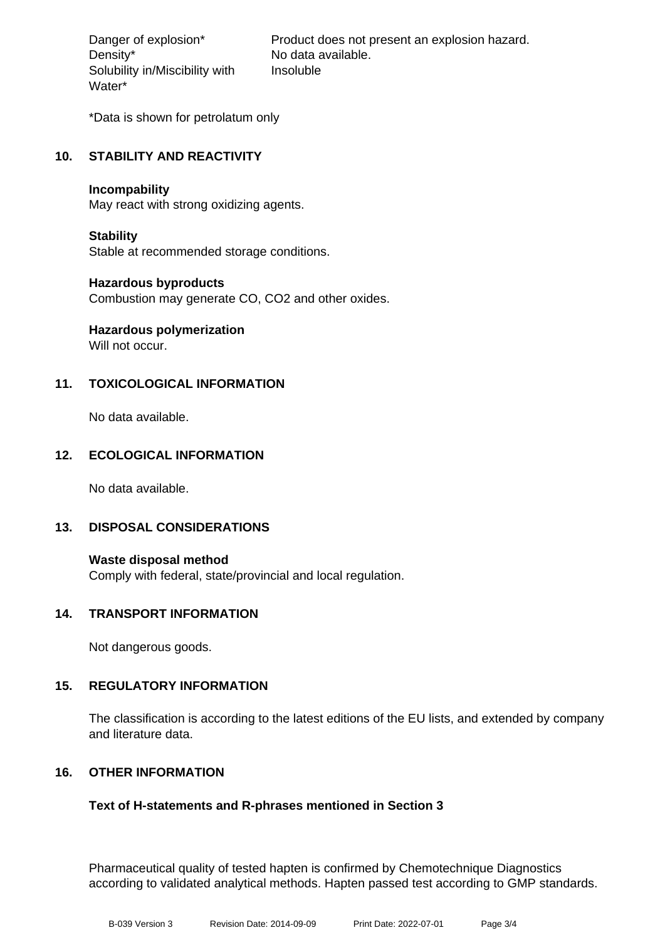Density\* No data available. Solubility in/Miscibility with Water\*

Danger of explosion\* Product does not present an explosion hazard. Insoluble

\*Data is shown for petrolatum only

## **10. STABILITY AND REACTIVITY**

#### **Incompability**

May react with strong oxidizing agents.

## **Stability**

Stable at recommended storage conditions.

## **Hazardous byproducts**

Combustion may generate CO, CO2 and other oxides.

# **Hazardous polymerization**

Will not occur.

## **11. TOXICOLOGICAL INFORMATION**

No data available.

## **12. ECOLOGICAL INFORMATION**

No data available.

## **13. DISPOSAL CONSIDERATIONS**

**Waste disposal method** Comply with federal, state/provincial and local regulation.

## **14. TRANSPORT INFORMATION**

Not dangerous goods.

## **15. REGULATORY INFORMATION**

The classification is according to the latest editions of the EU lists, and extended by company and literature data.

## **16. OTHER INFORMATION**

## **Text of H-statements and R-phrases mentioned in Section 3**

Pharmaceutical quality of tested hapten is confirmed by Chemotechnique Diagnostics according to validated analytical methods. Hapten passed test according to GMP standards.